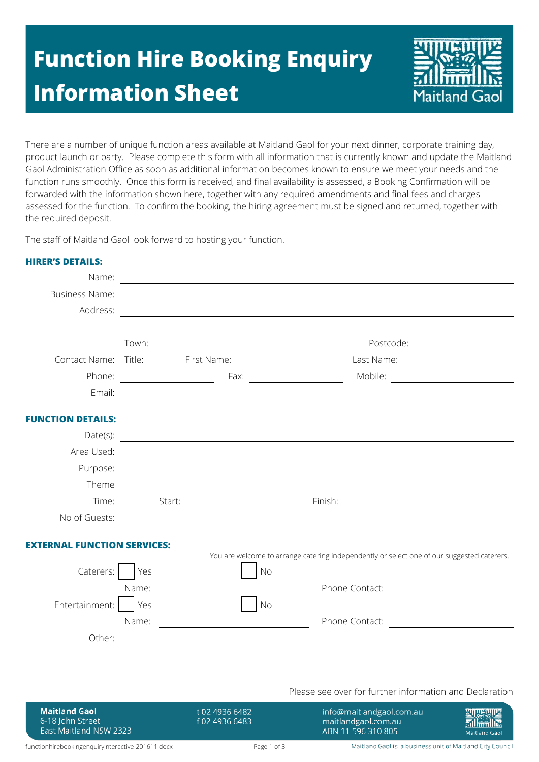## **Function Hire Booking Enquiry Information Sheet**



There are a number of unique function areas available at Maitland Gaol for your next dinner, corporate training day, product launch or party. Please complete this form with all information that is currently known and update the Maitland Gaol Administration Office as soon as additional information becomes known to ensure we meet your needs and the function runs smoothly. Once this form is received, and final availability is assessed, a Booking Confirmation will be forwarded with the information shown here, together with any required amendments and final fees and charges assessed for the function. To confirm the booking, the hiring agreement must be signed and returned, together with the required deposit.

The staff of Maitland Gaol look forward to hosting your function.

|                                                                    |            |                   |                                  | Name: Name: 2008. All and 2008. The second contract of the second contract of the second contract of the second contract of the second contract of the second contract of the second contract of the second contract of the se |                                                           |
|--------------------------------------------------------------------|------------|-------------------|----------------------------------|--------------------------------------------------------------------------------------------------------------------------------------------------------------------------------------------------------------------------------|-----------------------------------------------------------|
|                                                                    |            |                   |                                  | Business Name: 2008. Communication of the Communication of the Communication of the Communication of the Communication of the Communication of the Communication of the Communication of the Communication of the Communicatio |                                                           |
|                                                                    |            |                   |                                  |                                                                                                                                                                                                                                |                                                           |
|                                                                    |            |                   |                                  |                                                                                                                                                                                                                                |                                                           |
|                                                                    |            |                   |                                  |                                                                                                                                                                                                                                |                                                           |
|                                                                    |            |                   |                                  |                                                                                                                                                                                                                                |                                                           |
|                                                                    |            |                   |                                  |                                                                                                                                                                                                                                |                                                           |
|                                                                    |            |                   |                                  |                                                                                                                                                                                                                                |                                                           |
| <b>FUNCTION DETAILS:</b>                                           |            |                   |                                  |                                                                                                                                                                                                                                |                                                           |
|                                                                    |            |                   |                                  | Date(s):                                                                                                                                                                                                                       |                                                           |
|                                                                    |            |                   |                                  |                                                                                                                                                                                                                                |                                                           |
|                                                                    |            |                   |                                  |                                                                                                                                                                                                                                |                                                           |
|                                                                    |            |                   |                                  |                                                                                                                                                                                                                                |                                                           |
|                                                                    |            | Time: Start: 1988 |                                  | Finish: <u>_______________</u>                                                                                                                                                                                                 |                                                           |
| No of Guests:                                                      |            |                   |                                  |                                                                                                                                                                                                                                |                                                           |
| <b>EXTERNAL FUNCTION SERVICES:</b>                                 |            |                   |                                  | You are welcome to arrange catering independently or select one of our suggested caterers.                                                                                                                                     |                                                           |
| Caterers:                                                          | <b>Yes</b> |                   | $\big $ No                       |                                                                                                                                                                                                                                |                                                           |
|                                                                    | Name:      |                   |                                  |                                                                                                                                                                                                                                | Phone Contact: 2008                                       |
| Entertainment:                                                     | <b>Yes</b> |                   | N <sub>0</sub>                   |                                                                                                                                                                                                                                |                                                           |
|                                                                    | Name:      |                   |                                  |                                                                                                                                                                                                                                |                                                           |
| Other:                                                             |            |                   |                                  |                                                                                                                                                                                                                                |                                                           |
|                                                                    |            |                   |                                  |                                                                                                                                                                                                                                |                                                           |
|                                                                    |            |                   |                                  | Please see over for further information and Declaration                                                                                                                                                                        |                                                           |
| <b>Maitland Gaol</b><br>6-18 John Street<br>East Maitland NSW 2323 |            |                   | t 02 4936 6482<br>f 02 4936 6483 | info@maitlandgaol.com.au<br>maitlandgaol.com.au<br>ABN 11 596 310 805                                                                                                                                                          | Maitland Gaol                                             |
| functionhirebookingenquiryinteractive-201611.docx                  |            |                   | Page 1 of 3                      |                                                                                                                                                                                                                                | Maitland Gaol is a business unit of Maitland City Council |

## **HIRER'S DETAILS:**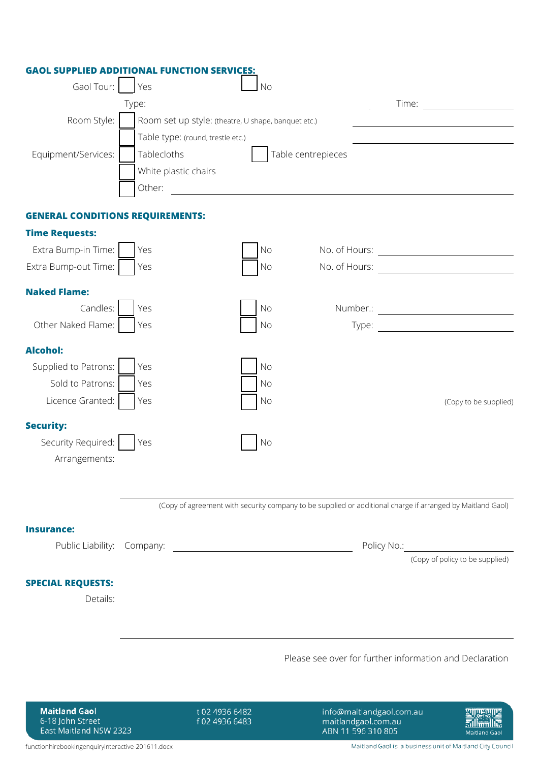| Gaol Tour:                                        | Yes                  | <b>No</b>                                           |                                                                                                            |                                                           |                                 |
|---------------------------------------------------|----------------------|-----------------------------------------------------|------------------------------------------------------------------------------------------------------------|-----------------------------------------------------------|---------------------------------|
|                                                   | Type:                |                                                     |                                                                                                            |                                                           | Time: $\qquad \qquad \qquad$    |
| Room Style:                                       |                      | Room set up style: (theatre, U shape, banquet etc.) |                                                                                                            |                                                           |                                 |
|                                                   |                      | Table type: (round, trestle etc.)                   |                                                                                                            |                                                           |                                 |
| Equipment/Services:                               | Tablecloths          |                                                     | Table centrepieces                                                                                         |                                                           |                                 |
|                                                   | White plastic chairs |                                                     |                                                                                                            |                                                           |                                 |
|                                                   | Other:               |                                                     |                                                                                                            |                                                           |                                 |
| <b>GENERAL CONDITIONS REQUIREMENTS:</b>           |                      |                                                     |                                                                                                            |                                                           |                                 |
| <b>Time Requests:</b>                             |                      |                                                     |                                                                                                            |                                                           |                                 |
| Extra Bump-in Time:                               | Yes                  | <b>No</b>                                           |                                                                                                            |                                                           |                                 |
| Extra Bump-out Time:                              | Yes                  | No                                                  |                                                                                                            |                                                           |                                 |
| <b>Naked Flame:</b>                               |                      |                                                     |                                                                                                            |                                                           |                                 |
| Candles:                                          | Yes                  | No                                                  |                                                                                                            |                                                           |                                 |
| Other Naked Flame:                                | Yes                  | No                                                  |                                                                                                            |                                                           |                                 |
| <b>Alcohol:</b>                                   |                      |                                                     |                                                                                                            |                                                           |                                 |
| Supplied to Patrons:                              | Yes                  | No                                                  |                                                                                                            |                                                           |                                 |
| Sold to Patrons:                                  | Yes                  | No                                                  |                                                                                                            |                                                           |                                 |
| Licence Granted:                                  | Yes                  | No                                                  |                                                                                                            |                                                           | (Copy to be supplied)           |
|                                                   |                      |                                                     |                                                                                                            |                                                           |                                 |
| <b>Security:</b><br>Security Required:            | Yes                  | No                                                  |                                                                                                            |                                                           |                                 |
| Arrangements:                                     |                      |                                                     |                                                                                                            |                                                           |                                 |
|                                                   |                      |                                                     |                                                                                                            |                                                           |                                 |
|                                                   |                      |                                                     |                                                                                                            |                                                           |                                 |
|                                                   |                      |                                                     | (Copy of agreement with security company to be supplied or additional charge if arranged by Maitland Gaol) |                                                           |                                 |
| <b>Insurance:</b>                                 |                      |                                                     |                                                                                                            |                                                           |                                 |
| Public Liability: Company:                        |                      |                                                     |                                                                                                            | Policy No.:                                               |                                 |
|                                                   |                      |                                                     |                                                                                                            |                                                           | (Copy of policy to be supplied) |
| <b>SPECIAL REQUESTS:</b>                          |                      |                                                     |                                                                                                            |                                                           |                                 |
| Details:                                          |                      |                                                     |                                                                                                            |                                                           |                                 |
|                                                   |                      |                                                     |                                                                                                            |                                                           |                                 |
|                                                   |                      |                                                     |                                                                                                            |                                                           |                                 |
|                                                   |                      |                                                     | Please see over for further information and Declaration                                                    |                                                           |                                 |
|                                                   |                      |                                                     |                                                                                                            |                                                           |                                 |
|                                                   |                      |                                                     |                                                                                                            |                                                           |                                 |
| <b>Maitland Gaol</b><br>6-18 John Street          |                      | t 02 4936 6482<br>f 02 4936 6483                    | info@maitlandgaol.com.au<br>maitlandgaol.com.au                                                            |                                                           |                                 |
| East Maitland NSW 2323                            |                      |                                                     | ABN 11 596 310 805                                                                                         |                                                           | Maitland Gaol                   |
| functionhirebookingenquiryinteractive-201611.docx |                      |                                                     |                                                                                                            | Maitland Gaol is a business unit of Maitland City Council |                                 |

**GAOL SUPPLIED ADDITIONAL FUNCTION SERVICES:**